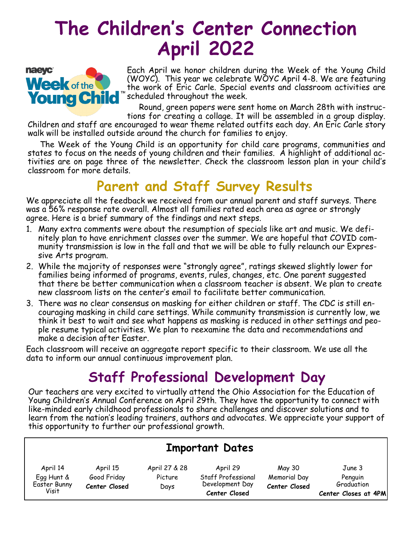# **The Children's Center Connection April 2022**



Each April we honor children during the Week of the Young Child (WOYC). This year we celebrate WOYC April 4-8. We are featuring the work of Eric Carle. Special events and classroom activities are scheduled throughout the week.

Round, green papers were sent home on March 28th with instruc-

tions for creating a collage. It will be assembled in a group display. Children and staff are encouraged to wear theme related outfits each day. An Eric Carle story walk will be installed outside around the church for families to enjoy.

 The Week of the Young Child is an opportunity for child care programs, communities and states to focus on the needs of young children and their families. A highlight of additional activities are on page three of the newsletter. Check the classroom lesson plan in your child's classroom for more details.

### **Parent and Staff Survey Results**

We appreciate all the feedback we received from our annual parent and staff surveys. There was a 56% response rate overall. Almost all families rated each area as agree or strongly agree. Here is a brief summary of the findings and next steps.

- 1. Many extra comments were about the resumption of specials like art and music. We definitely plan to have enrichment classes over the summer. We are hopeful that COVID community transmission is low in the fall and that we will be able to fully relaunch our Expressive Arts program.
- 2. While the majority of responses were "strongly agree", ratings skewed slightly lower for families being informed of programs, events, rules, changes, etc. One parent suggested that there be better communication when a classroom teacher is absent. We plan to create new classroom lists on the center's email to facilitate better communication.
- 3. There was no clear consensus on masking for either children or staff. The CDC is still encouraging masking in child care settings. While community transmission is currently low, we think it best to wait and see what happens as masking is reduced in other settings and people resume typical activities. We plan to reexamine the data and recommendations and make a decision after Easter.

Each classroom will receive an aggregate report specific to their classroom. We use all the data to inform our annual continuous improvement plan.

#### **Staff Professional Development Day**

Our teachers are very excited to virtually attend the Ohio Association for the Education of Young Children's Annual Conference on April 29th. They have the opportunity to connect with like-minded early childhood professionals to share challenges and discover solutions and to learn from the nation's leading trainers, authors and advocates. We appreciate your support of this opportunity to further our professional growth.

| <b>Important Dates</b>              |                              |                 |                                                        |                               |                                               |  |  |  |
|-------------------------------------|------------------------------|-----------------|--------------------------------------------------------|-------------------------------|-----------------------------------------------|--|--|--|
| April 14                            | April 15                     | April 27 & 28   | April 29                                               | May 30                        | June 3                                        |  |  |  |
| Egg Hunt &<br>Easter Bunny<br>Visit | Good Friday<br>Center Closed | Picture<br>Days | Staff Professional<br>Development Day<br>Center Closed | Memorial Day<br>Center Closed | Penguin<br>Graduation<br>Center Closes at 4PM |  |  |  |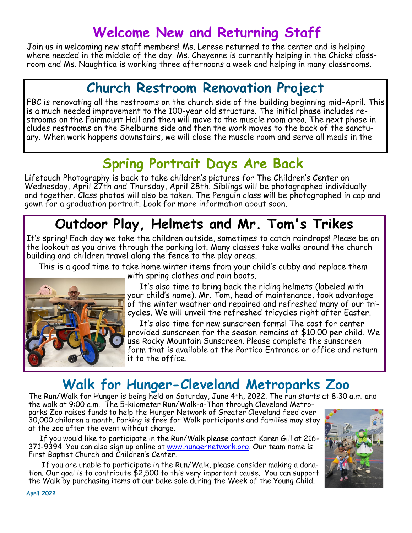### **Welcome New and Returning Staff**

Join us in welcoming new staff members! Ms. Lerese returned to the center and is helping where needed in the middle of the day. Ms. Cheyenne is currently helping in the Chicks classroom and Ms. Naughtica is working three afternoons a week and helping in many classrooms.

### **Church Restroom Renovation Project**

FBC is renovating all the restrooms on the church side of the building beginning mid-April. This is a much needed improvement to the 100-year old structure. The initial phase includes restrooms on the Fairmount Hall and then will move to the muscle room area. The next phase includes restrooms on the Shelburne side and then the work moves to the back of the sanctuary. When work happens downstairs, we will close the muscle room and serve all meals in the

### **Spring Portrait Days Are Back**

Lifetouch Photography is back to take children's pictures for The Children's Center on Wednesday, April 27th and Thursday, April 28th. Siblings will be photographed individually and together. Class photos will also be taken. The Penguin class will be photographed in cap and gown for a graduation portrait. Look for more information about soon.

### **Outdoor Play, Helmets and Mr. Tom's Trikes**

It's spring! Each day we take the children outside, sometimes to catch raindrops! Please be on the lookout as you drive through the parking lot. Many classes take walks around the church building and children travel along the fence to the play areas.

 This is a good time to take home winter items from your child's cubby and replace them with spring clothes and rain boots.



 It's also time to bring back the riding helmets (labeled with your child's name). Mr. Tom, head of maintenance, took advantage of the winter weather and repaired and refreshed many of our tricycles. We will unveil the refreshed tricycles right after Easter.

 It's also time for new sunscreen forms! The cost for center provided sunscreen for the season remains at \$10.00 per child. We use Rocky Mountain Sunscreen. Please complete the sunscreen form that is available at the Portico Entrance or office and return it to the office.

## **Walk for Hunger-Cleveland Metroparks Zoo**

The Run/Walk for Hunger is being held on Saturday, June 4th, 2022. The run starts at 8:30 a.m. and the walk at 9:00 a.m. The 5-kilometer Run/Walk-a-Thon through Cleveland Metroparks Zoo raises funds to help the Hunger Network of Greater Cleveland feed over 30,000 children a month. Parking is free for Walk participants and families may stay at the zoo after the event without charge.

 If you would like to participate in the Run/Walk please contact Karen Gill at 216 371-9394. You can also sign up online at [www.hungernetwork.org.](http://www.hungernetwork.org/) Our team name is First Baptist Church and Children's Center.

 If you are unable to participate in the Run/Walk, please consider making a donation. Our goal is to contribute \$2,500 to this very important cause. You can support the Walk by purchasing items at our bake sale during the Week of the Young Child.

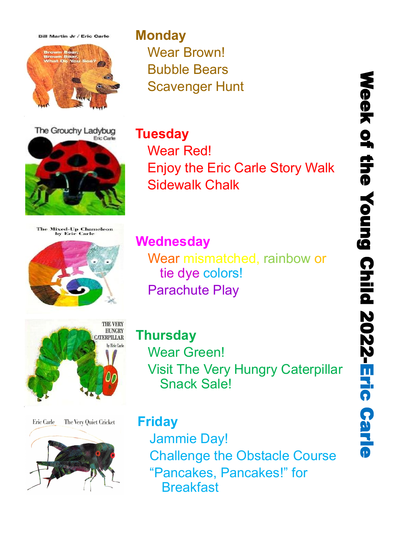**Bill Martin Jr / Eric Carle** 



The Grouchy Ladybug Fric Carlo



The Mixed-Up Chameleon<br>by Eric Carle





Eric Carle The Very Quiet Cricket



### **Monday** Wear Brown! Bubble Bears Scavenger Hunt

**Tuesday** Wear Red!

Enjoy the Eric Carle Story Walk Sidewalk Chalk

**Wednesday**

Wear mismatched, rainbow or tie dye colors! Parachute Play

**Thursday** Wear Green! Visit The Very Hungry Caterpillar Snack Sale!

#### **Friday**

Jammie Day! Challenge the Obstacle Course "Pancakes, Pancakes!" for **Breakfast**